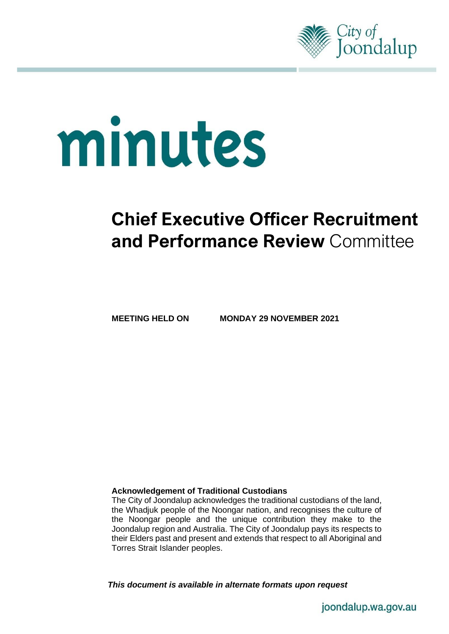

# minutes

# **Chief Executive Officer Recruitment and Performance Review** Committee

**MEETING HELD ON MONDAY 29 NOVEMBER 2021**

#### **Acknowledgement of Traditional Custodians**

The City of Joondalup acknowledges the traditional custodians of the land, the Whadjuk people of the Noongar nation, and recognises the culture of the Noongar people and the unique contribution they make to the Joondalup region and Australia. The City of Joondalup pays its respects to their Elders past and present and extends that respect to all Aboriginal and Torres Strait Islander peoples.

*This document is available in alternate formats upon request*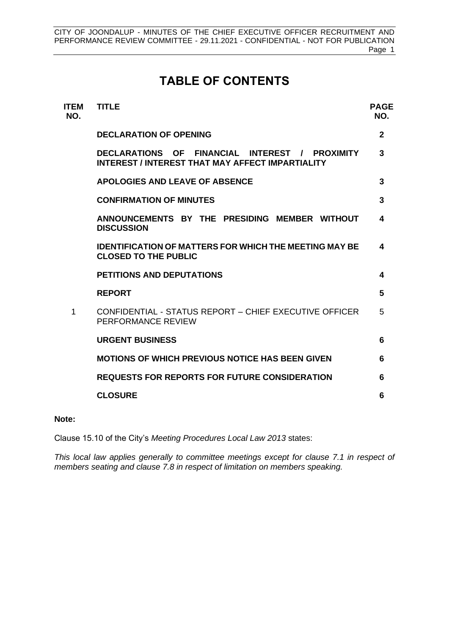# **TABLE OF CONTENTS**

| <b>ITEM</b><br>NO. | <b>TITLE</b>                                                                                                 | <b>PAGE</b><br>NO. |
|--------------------|--------------------------------------------------------------------------------------------------------------|--------------------|
|                    | <b>DECLARATION OF OPENING</b>                                                                                | $\mathbf{2}$       |
|                    | FINANCIAL INTEREST / PROXIMITY<br><b>DECLARATIONS OF</b><br>INTEREST / INTEREST THAT MAY AFFECT IMPARTIALITY | 3                  |
|                    | <b>APOLOGIES AND LEAVE OF ABSENCE</b>                                                                        | 3                  |
|                    | <b>CONFIRMATION OF MINUTES</b>                                                                               | 3                  |
|                    | ANNOUNCEMENTS BY THE PRESIDING MEMBER WITHOUT<br><b>DISCUSSION</b>                                           | 4                  |
|                    | <b>IDENTIFICATION OF MATTERS FOR WHICH THE MEETING MAY BE</b><br><b>CLOSED TO THE PUBLIC</b>                 | 4                  |
|                    | <b>PETITIONS AND DEPUTATIONS</b>                                                                             | 4                  |
|                    | <b>REPORT</b>                                                                                                | 5                  |
| 1                  | CONFIDENTIAL - STATUS REPORT - CHIEF EXECUTIVE OFFICER<br>PERFORMANCE REVIEW                                 | 5                  |
|                    | <b>URGENT BUSINESS</b>                                                                                       | 6                  |
|                    | <b>MOTIONS OF WHICH PREVIOUS NOTICE HAS BEEN GIVEN</b>                                                       | 6                  |
|                    | <b>REQUESTS FOR REPORTS FOR FUTURE CONSIDERATION</b>                                                         | 6                  |
|                    | <b>CLOSURE</b>                                                                                               | 6                  |
|                    |                                                                                                              |                    |

#### **Note:**

Clause 15.10 of the City's *Meeting Procedures Local Law 2013* states:

*This local law applies generally to committee meetings except for clause 7.1 in respect of members seating and clause 7.8 in respect of limitation on members speaking.*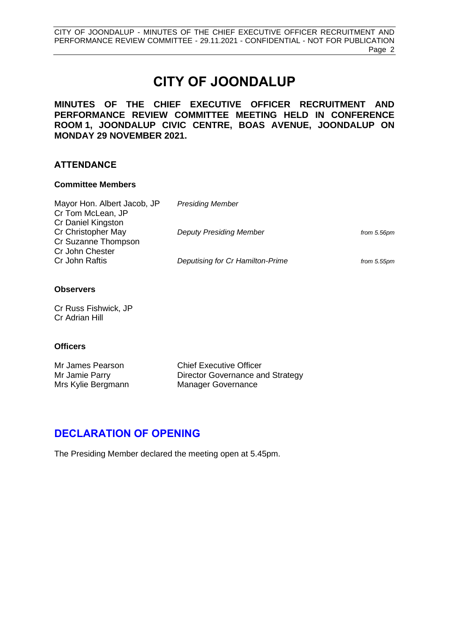CITY OF JOONDALUP - MINUTES OF THE CHIEF EXECUTIVE OFFICER RECRUITMENT AND PERFORMANCE REVIEW COMMITTEE - 29.11.2021 - CONFIDENTIAL - NOT FOR PUBLICATION Page 2

# **CITY OF JOONDALUP**

#### **MINUTES OF THE CHIEF EXECUTIVE OFFICER RECRUITMENT AND PERFORMANCE REVIEW COMMITTEE MEETING HELD IN CONFERENCE ROOM 1, JOONDALUP CIVIC CENTRE, BOAS AVENUE, JOONDALUP ON MONDAY 29 NOVEMBER 2021.**

#### **ATTENDANCE**

#### **Committee Members**

| Mayor Hon. Albert Jacob, JP | <b>Presiding Member</b>          |             |
|-----------------------------|----------------------------------|-------------|
| Cr Tom McLean, JP           |                                  |             |
| Cr Daniel Kingston          |                                  |             |
| Cr Christopher May          | <b>Deputy Presiding Member</b>   | from 5.56pm |
| Cr Suzanne Thompson         |                                  |             |
| Cr John Chester             |                                  |             |
| Cr John Raftis              | Deputising for Cr Hamilton-Prime | from 5.55pm |

#### **Observers**

Cr Russ Fishwick, JP Cr Adrian Hill

#### **Officers**

| Mr James Pearson   | <b>Chief Executive Officer</b>   |
|--------------------|----------------------------------|
| Mr Jamie Parry     | Director Governance and Strategy |
| Mrs Kylie Bergmann | <b>Manager Governance</b>        |

# <span id="page-2-0"></span>**DECLARATION OF OPENING**

The Presiding Member declared the meeting open at 5.45pm.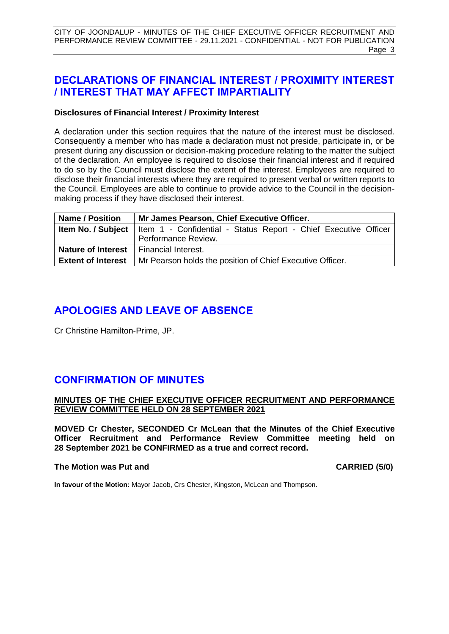CITY OF JOONDALUP - MINUTES OF THE CHIEF EXECUTIVE OFFICER RECRUITMENT AND PERFORMANCE REVIEW COMMITTEE - 29.11.2021 - CONFIDENTIAL - NOT FOR PUBLICATION Page 3

# <span id="page-3-0"></span>**DECLARATIONS OF FINANCIAL INTEREST / PROXIMITY INTEREST / INTEREST THAT MAY AFFECT IMPARTIALITY**

#### **Disclosures of Financial Interest / Proximity Interest**

A declaration under this section requires that the nature of the interest must be disclosed. Consequently a member who has made a declaration must not preside, participate in, or be present during any discussion or decision-making procedure relating to the matter the subject of the declaration. An employee is required to disclose their financial interest and if required to do so by the Council must disclose the extent of the interest. Employees are required to disclose their financial interests where they are required to present verbal or written reports to the Council. Employees are able to continue to provide advice to the Council in the decisionmaking process if they have disclosed their interest.

| <b>Name / Position</b>    | Mr James Pearson, Chief Executive Officer.                                                  |  |  |  |
|---------------------------|---------------------------------------------------------------------------------------------|--|--|--|
|                           | <b>Item No. / Subject</b>   Item 1 - Confidential - Status Report - Chief Executive Officer |  |  |  |
|                           | Performance Review.                                                                         |  |  |  |
| <b>Nature of Interest</b> | Financial Interest.                                                                         |  |  |  |
| <b>Extent of Interest</b> | Mr Pearson holds the position of Chief Executive Officer.                                   |  |  |  |

# <span id="page-3-1"></span>**APOLOGIES AND LEAVE OF ABSENCE**

Cr Christine Hamilton-Prime, JP.

# <span id="page-3-2"></span>**CONFIRMATION OF MINUTES**

#### **MINUTES OF THE CHIEF EXECUTIVE OFFICER RECRUITMENT AND PERFORMANCE REVIEW COMMITTEE HELD ON 28 SEPTEMBER 2021**

**MOVED Cr Chester, SECONDED Cr McLean that the Minutes of the Chief Executive Officer Recruitment and Performance Review Committee meeting held on 28 September 2021 be CONFIRMED as a true and correct record.**

#### **The Motion was Put and CARRIED (5/0)**

**In favour of the Motion:** Mayor Jacob, Crs Chester, Kingston, McLean and Thompson.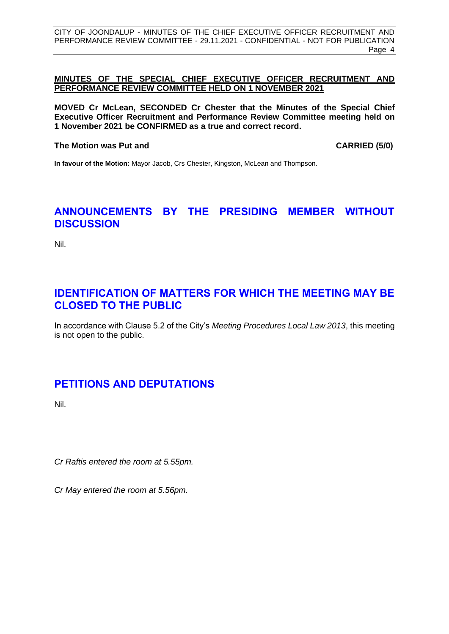#### **MINUTES OF THE SPECIAL CHIEF EXECUTIVE OFFICER RECRUITMENT AND PERFORMANCE REVIEW COMMITTEE HELD ON 1 NOVEMBER 2021**

**MOVED Cr McLean, SECONDED Cr Chester that the Minutes of the Special Chief Executive Officer Recruitment and Performance Review Committee meeting held on 1 November 2021 be CONFIRMED as a true and correct record.**

#### **The Motion was Put and CARRIED (5/0)**

**In favour of the Motion:** Mayor Jacob, Crs Chester, Kingston, McLean and Thompson.

## <span id="page-4-0"></span>**ANNOUNCEMENTS BY THE PRESIDING MEMBER WITHOUT DISCUSSION**

Nil.

# <span id="page-4-1"></span>**IDENTIFICATION OF MATTERS FOR WHICH THE MEETING MAY BE CLOSED TO THE PUBLIC**

In accordance with Clause 5.2 of the City's *Meeting Procedures Local Law 2013*, this meeting is not open to the public.

# <span id="page-4-2"></span>**PETITIONS AND DEPUTATIONS**

Nil.

*Cr Raftis entered the room at 5.55pm.*

*Cr May entered the room at 5.56pm.*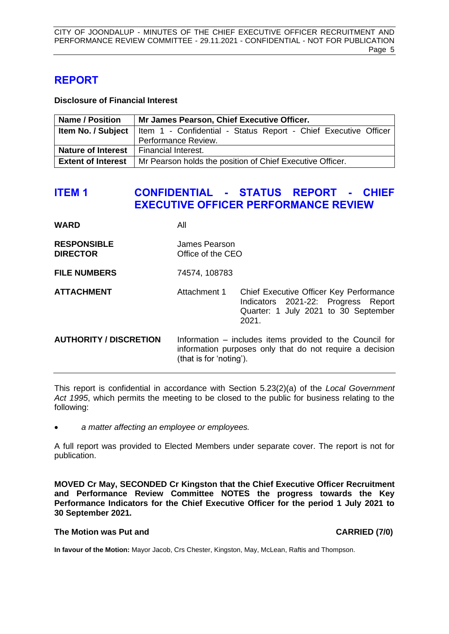## <span id="page-5-0"></span>**REPORT**

**Disclosure of Financial Interest**

| <b>Name / Position</b>                          | Mr James Pearson, Chief Executive Officer.                                                  |  |  |  |
|-------------------------------------------------|---------------------------------------------------------------------------------------------|--|--|--|
|                                                 | <b>Item No. / Subject</b>   Item 1 - Confidential - Status Report - Chief Executive Officer |  |  |  |
|                                                 | Performance Review.                                                                         |  |  |  |
| <b>Nature of Interest</b>   Financial Interest. |                                                                                             |  |  |  |
|                                                 | <b>Extent of Interest</b>   Mr Pearson holds the position of Chief Executive Officer.       |  |  |  |

## <span id="page-5-1"></span>**ITEM 1 CONFIDENTIAL - STATUS REPORT - CHIEF EXECUTIVE OFFICER PERFORMANCE REVIEW**

| WARD                                  | All                                                                                                                                             |                                                                                                                                 |  |
|---------------------------------------|-------------------------------------------------------------------------------------------------------------------------------------------------|---------------------------------------------------------------------------------------------------------------------------------|--|
| <b>RESPONSIBLE</b><br><b>DIRECTOR</b> | James Pearson<br>Office of the CEO                                                                                                              |                                                                                                                                 |  |
| <b>FILE NUMBERS</b>                   | 74574, 108783                                                                                                                                   |                                                                                                                                 |  |
| <b>ATTACHMENT</b>                     | Attachment 1                                                                                                                                    | Chief Executive Officer Key Performance<br>Indicators 2021-22: Progress Report<br>Quarter: 1 July 2021 to 30 September<br>2021. |  |
| <b>AUTHORITY / DISCRETION</b>         | Information – includes items provided to the Council for<br>information purposes only that do not require a decision<br>(that is for 'noting'). |                                                                                                                                 |  |

This report is confidential in accordance with Section 5.23(2)(a) of the *Local Government Act 1995*, which permits the meeting to be closed to the public for business relating to the following:

• *a matter affecting an employee or employees.*

A full report was provided to Elected Members under separate cover. The report is not for publication.

**MOVED Cr May, SECONDED Cr Kingston that the Chief Executive Officer Recruitment and Performance Review Committee NOTES the progress towards the Key Performance Indicators for the Chief Executive Officer for the period 1 July 2021 to 30 September 2021.**

#### **The Motion was Put and CARRIED (7/0)**

**In favour of the Motion:** Mayor Jacob, Crs Chester, Kingston, May, McLean, Raftis and Thompson.